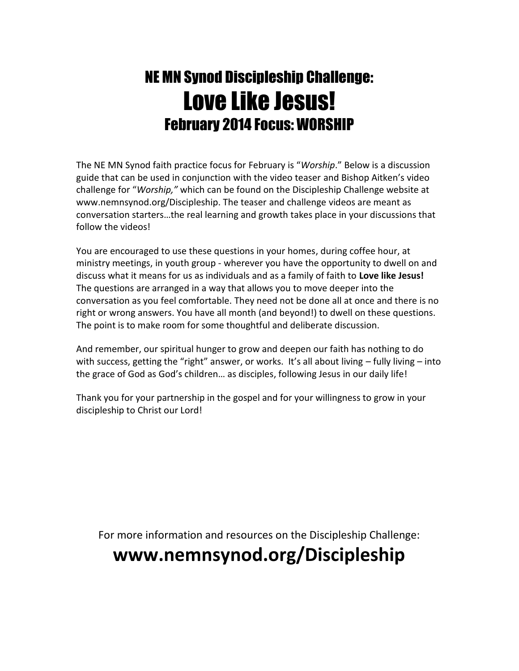## NE MN Synod Discipleship Challenge: Love Like Jesus! February 2014 Focus: WORSHIP

The NE MN Synod faith practice focus for February is "*Worship*." Below is a discussion guide that can be used in conjunction with the video teaser and Bishop Aitken's video challenge for "*Worship,"* which can be found on the Discipleship Challenge website at www.nemnsynod.org/Discipleship. The teaser and challenge videos are meant as conversation starters…the real learning and growth takes place in your discussions that follow the videos!

You are encouraged to use these questions in your homes, during coffee hour, at ministry meetings, in youth group - wherever you have the opportunity to dwell on and discuss what it means for us as individuals and as a family of faith to **Love like Jesus!** The questions are arranged in a way that allows you to move deeper into the conversation as you feel comfortable. They need not be done all at once and there is no right or wrong answers. You have all month (and beyond!) to dwell on these questions. The point is to make room for some thoughtful and deliberate discussion.

And remember, our spiritual hunger to grow and deepen our faith has nothing to do with success, getting the "right" answer, or works. It's all about living - fully living - into the grace of God as God's children… as disciples, following Jesus in our daily life!

Thank you for your partnership in the gospel and for your willingness to grow in your discipleship to Christ our Lord!

For more information and resources on the Discipleship Challenge:

## **www.nemnsynod.org/Discipleship**